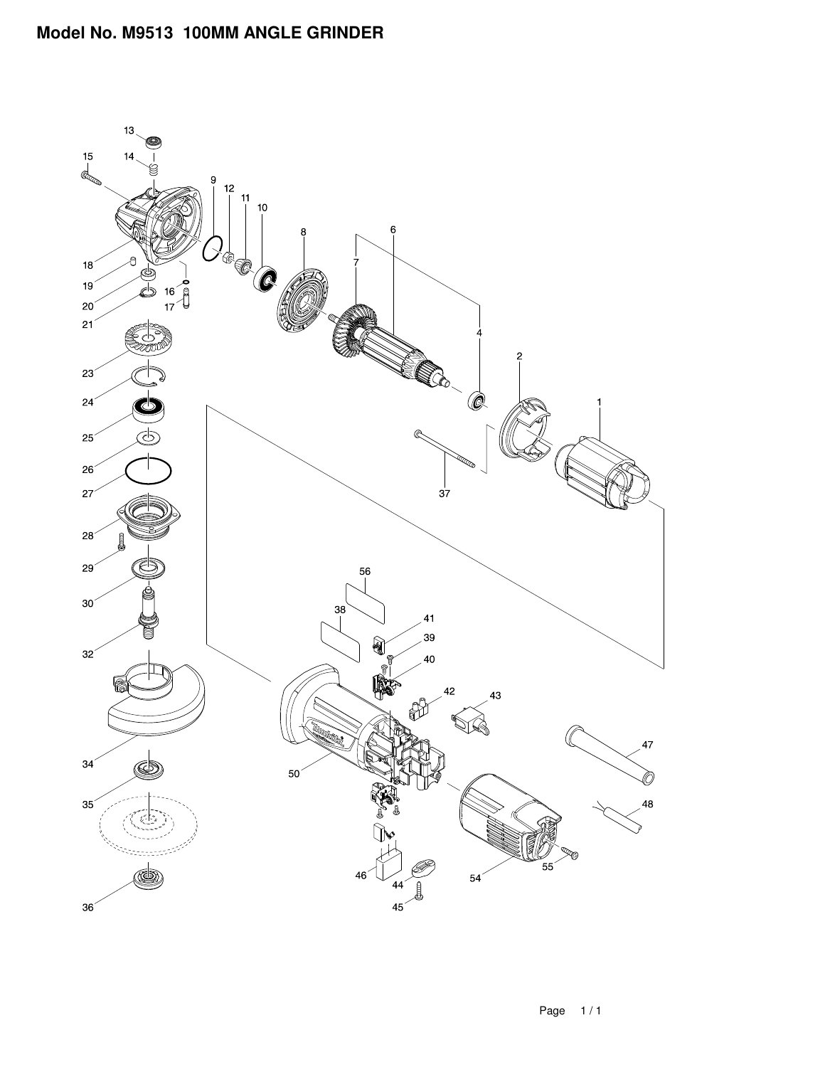## **Model No. M9513 100MM ANGLE GRINDER**

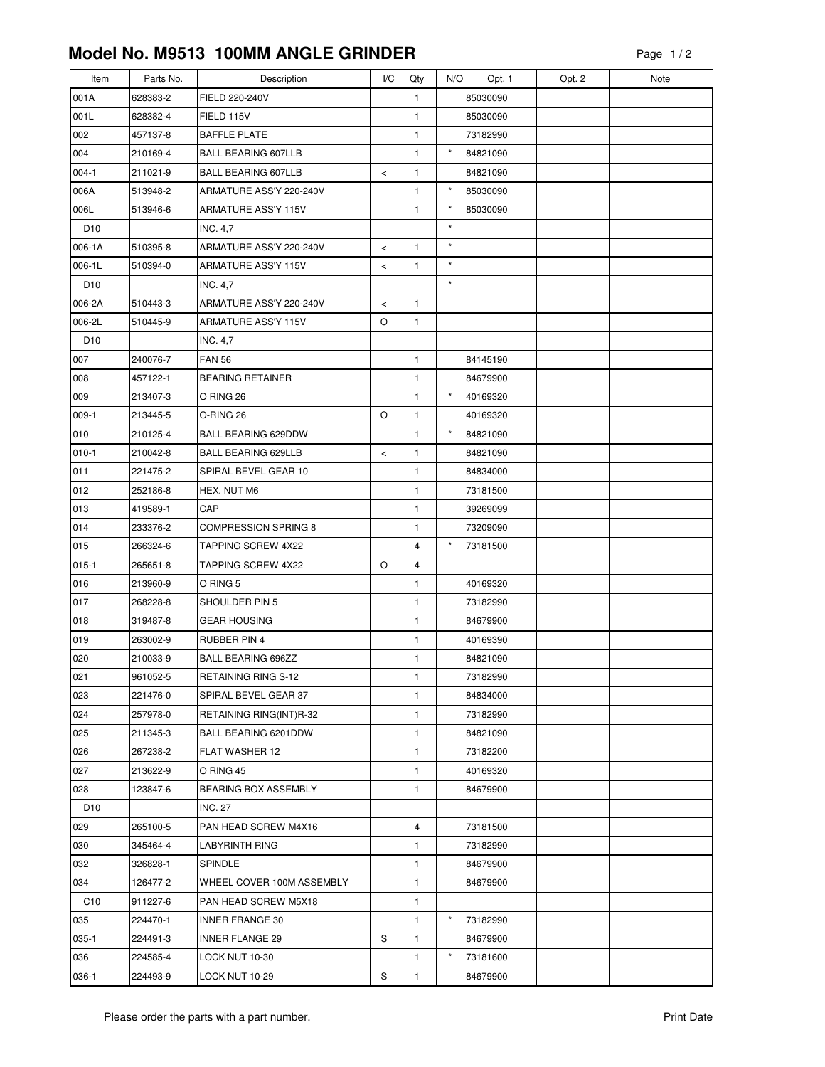## **Model No. M9513 100MM ANGLE GRINDER**

| Item            | Parts No. | Description                 | I/C   | Qty            | N/O      | Opt. 1   | Opt. 2 | Note |
|-----------------|-----------|-----------------------------|-------|----------------|----------|----------|--------|------|
| 001A            | 628383-2  | FIELD 220-240V              |       | $\mathbf{1}$   |          | 85030090 |        |      |
| 001L            | 628382-4  | FIELD 115V                  |       | 1              |          | 85030090 |        |      |
| 002             | 457137-8  | <b>BAFFLE PLATE</b>         |       | 1              |          | 73182990 |        |      |
| 004             | 210169-4  | <b>BALL BEARING 607LLB</b>  |       | 1              | $\star$  | 84821090 |        |      |
| $004-1$         | 211021-9  | <b>BALL BEARING 607LLB</b>  | $\,<$ | 1              |          | 84821090 |        |      |
| 006A            | 513948-2  | ARMATURE ASS'Y 220-240V     |       | $\mathbf{1}$   | $^\star$ | 85030090 |        |      |
| 006L            | 513946-6  | ARMATURE ASS'Y 115V         |       | $\mathbf{1}$   | $^\star$ | 85030090 |        |      |
| D <sub>10</sub> |           | <b>INC. 4,7</b>             |       |                | $\star$  |          |        |      |
| 006-1A          | 510395-8  | ARMATURE ASS'Y 220-240V     | $\,<$ | 1              | $\star$  |          |        |      |
| 006-1L          | 510394-0  | ARMATURE ASS'Y 115V         | $\,<$ | 1              | $\star$  |          |        |      |
| D <sub>10</sub> |           | <b>INC. 4,7</b>             |       |                | $\star$  |          |        |      |
| 006-2A          | 510443-3  | ARMATURE ASS'Y 220-240V     | $\,<$ | $\mathbf{1}$   |          |          |        |      |
| 006-2L          | 510445-9  | ARMATURE ASS'Y 115V         | O     | 1              |          |          |        |      |
| D <sub>10</sub> |           | <b>INC. 4,7</b>             |       |                |          |          |        |      |
| 007             | 240076-7  | <b>FAN 56</b>               |       | 1              |          | 84145190 |        |      |
| 008             | 457122-1  | <b>BEARING RETAINER</b>     |       | 1              |          | 84679900 |        |      |
| 009             | 213407-3  | O RING 26                   |       | $\mathbf{1}$   | $\star$  | 40169320 |        |      |
| $009-1$         | 213445-5  | O-RING 26                   | O     | 1              |          | 40169320 |        |      |
| 010             | 210125-4  | <b>BALL BEARING 629DDW</b>  |       | 1              | $\star$  | 84821090 |        |      |
| $010-1$         | 210042-8  | <b>BALL BEARING 629LLB</b>  | $\,<$ | 1              |          | 84821090 |        |      |
| 011             | 221475-2  | SPIRAL BEVEL GEAR 10        |       | 1              |          | 84834000 |        |      |
| 012             | 252186-8  | HEX. NUT M6                 |       | $\mathbf{1}$   |          | 73181500 |        |      |
| 013             | 419589-1  | CAP                         |       | $\mathbf{1}$   |          | 39269099 |        |      |
| 014             | 233376-2  | <b>COMPRESSION SPRING 8</b> |       | 1              |          | 73209090 |        |      |
| 015             | 266324-6  | TAPPING SCREW 4X22          |       | $\overline{4}$ | $\star$  | 73181500 |        |      |
| $015 - 1$       | 265651-8  | <b>TAPPING SCREW 4X22</b>   | O     | 4              |          |          |        |      |
| 016             | 213960-9  | O RING 5                    |       | 1              |          | 40169320 |        |      |
| 017             | 268228-8  | SHOULDER PIN 5              |       | 1              |          | 73182990 |        |      |
| 018             | 319487-8  | <b>GEAR HOUSING</b>         |       | 1              |          | 84679900 |        |      |
| 019             | 263002-9  | <b>RUBBER PIN 4</b>         |       | $\mathbf{1}$   |          | 40169390 |        |      |
| 020             | 210033-9  | <b>BALL BEARING 696ZZ</b>   |       | 1              |          | 84821090 |        |      |
| 021             | 961052-5  | RETAINING RING S-12         |       | 1              |          | 73182990 |        |      |
| 023             | 221476-0  | SPIRAL BEVEL GEAR 37        |       | 1              |          | 84834000 |        |      |
| 024             | 257978-0  | RETAINING RING(INT)R-32     |       | 1              |          | 73182990 |        |      |
| 025             | 211345-3  | BALL BEARING 6201DDW        |       | 1              |          | 84821090 |        |      |
| 026             | 267238-2  | FLAT WASHER 12              |       | 1              |          | 73182200 |        |      |
| 027             | 213622-9  | O RING 45                   |       | 1              |          | 40169320 |        |      |
| 028             | 123847-6  | <b>BEARING BOX ASSEMBLY</b> |       | 1              |          | 84679900 |        |      |
| D <sub>10</sub> |           | <b>INC. 27</b>              |       |                |          |          |        |      |
| 029             | 265100-5  | PAN HEAD SCREW M4X16        |       | 4              |          | 73181500 |        |      |
| 030             | 345464-4  | LABYRINTH RING              |       | 1              |          | 73182990 |        |      |
| 032             | 326828-1  | SPINDLE                     |       | 1              |          | 84679900 |        |      |
| 034             | 126477-2  | WHEEL COVER 100M ASSEMBLY   |       | 1              |          | 84679900 |        |      |
| C <sub>10</sub> | 911227-6  | PAN HEAD SCREW M5X18        |       | 1              |          |          |        |      |
| 035             | 224470-1  | <b>INNER FRANGE 30</b>      |       | 1              | $\star$  | 73182990 |        |      |
| $035-1$         | 224491-3  | <b>INNER FLANGE 29</b>      | S     | $\mathbf{1}$   |          | 84679900 |        |      |
| 036             | 224585-4  | LOCK NUT 10-30              |       | 1              | $\star$  | 73181600 |        |      |
| 036-1           | 224493-9  | LOCK NUT 10-29              | S     | 1              |          | 84679900 |        |      |